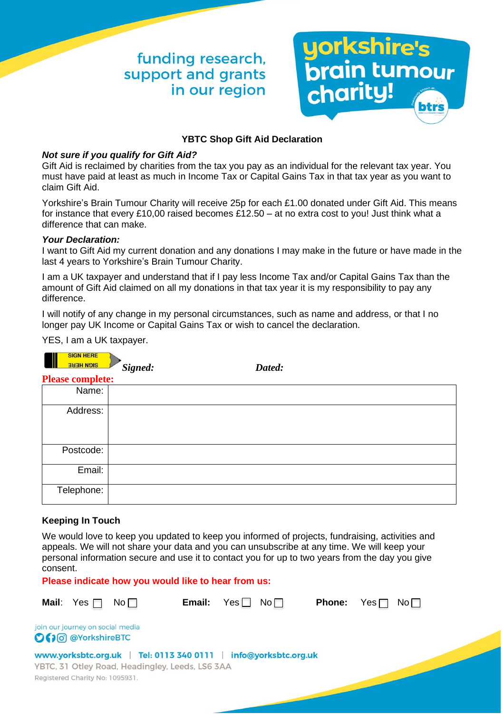# funding research, support and grants in our region



### **YBTC Shop Gift Aid Declaration**

### *Not sure if you qualify for Gift Aid?*

Gift Aid is reclaimed by charities from the tax you pay as an individual for the relevant tax year. You must have paid at least as much in Income Tax or Capital Gains Tax in that tax year as you want to claim Gift Aid.

Yorkshire's Brain Tumour Charity will receive 25p for each £1.00 donated under Gift Aid. This means for instance that every £10,00 raised becomes £12.50 – at no extra cost to you! Just think what a difference that can make.

### *Your Declaration:*

I want to Gift Aid my current donation and any donations I may make in the future or have made in the last 4 years to Yorkshire's Brain Tumour Charity.

I am a UK taxpayer and understand that if I pay less Income Tax and/or Capital Gains Tax than the amount of Gift Aid claimed on all my donations in that tax year it is my responsibility to pay any difference.

I will notify of any change in my personal circumstances, such as name and address, or that I no longer pay UK Income or Capital Gains Tax or wish to cancel the declaration.

YES, I am a UK taxpayer.

 $\overline{\phantom{a}}$ 

| <b>SIGN HENE</b><br><b>SIGN HERE</b> | Signed: | Dated: |  |  |  |  |  |
|--------------------------------------|---------|--------|--|--|--|--|--|
| <b>Please complete:</b>              |         |        |  |  |  |  |  |
| Name:                                |         |        |  |  |  |  |  |
| Address:                             |         |        |  |  |  |  |  |
| Postcode:                            |         |        |  |  |  |  |  |
| Email:                               |         |        |  |  |  |  |  |
| Telephone:                           |         |        |  |  |  |  |  |

### **Keeping In Touch**

We would love to keep you updated to keep you informed of projects, fundraising, activities and appeals. We will not share your data and you can unsubscribe at any time. We will keep your personal information secure and use it to contact you for up to two years from the day you give consent.

**Please indicate how you would like to hear from us:**

|                                                         | <b>Mail:</b> Yes $\Box$         | No <sub>1</sub> | Email:                                                                                                             | Yes | No <sub>1</sub> | <b>Phone:</b> | Yes $\Box$ | No <sub>1</sub> |  |  |
|---------------------------------------------------------|---------------------------------|-----------------|--------------------------------------------------------------------------------------------------------------------|-----|-----------------|---------------|------------|-----------------|--|--|
| join our journey on social media<br>O (10 @YorkshireBTC |                                 |                 |                                                                                                                    |     |                 |               |            |                 |  |  |
|                                                         | Registered Charity No: 1095931. |                 | www.yorksbtc.org.uk   Tel: 0113 340 0111   info@yorksbtc.org.uk<br>YBTC, 31 Otley Road, Headingley, Leeds, LS6 3AA |     |                 |               |            |                 |  |  |